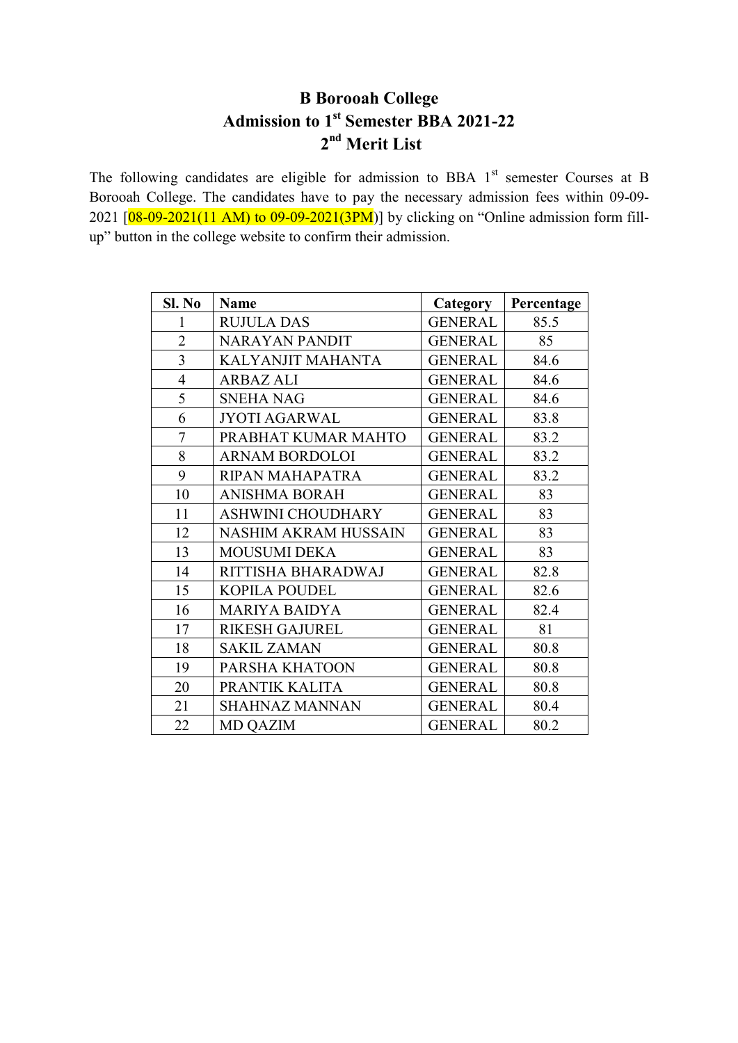# **B Borooah College Admission to 1st Semester BBA 2021-22 nd Merit List**

The following candidates are eligible for admission to BBA  $1<sup>st</sup>$  semester Courses at B Borooah College. The candidates have to pay the necessary admission fees within 09-09- 2021  $[08-09-2021(11 AM)$  to 09-09-2021(3PM)] by clicking on "Online admission form fillup" button in the college website to confirm their admission.

| Sl. No         | <b>Name</b>                 | <b>Category</b> | Percentage |
|----------------|-----------------------------|-----------------|------------|
| 1              | <b>RUJULA DAS</b>           | <b>GENERAL</b>  | 85.5       |
| $\overline{2}$ | <b>NARAYAN PANDIT</b>       | <b>GENERAL</b>  | 85         |
| $\overline{3}$ | KALYANJIT MAHANTA           | <b>GENERAL</b>  | 84.6       |
| $\overline{4}$ | <b>ARBAZ ALI</b>            | <b>GENERAL</b>  | 84.6       |
| 5              | <b>SNEHA NAG</b>            | <b>GENERAL</b>  | 84.6       |
| 6              | <b>JYOTI AGARWAL</b>        | <b>GENERAL</b>  | 83.8       |
| 7              | PRABHAT KUMAR MAHTO         | <b>GENERAL</b>  | 83.2       |
| 8              | <b>ARNAM BORDOLOI</b>       | <b>GENERAL</b>  | 83.2       |
| 9              | RIPAN MAHAPATRA             | <b>GENERAL</b>  | 83.2       |
| 10             | <b>ANISHMA BORAH</b>        | <b>GENERAL</b>  | 83         |
| 11             | <b>ASHWINI CHOUDHARY</b>    | <b>GENERAL</b>  | 83         |
| 12             | <b>NASHIM AKRAM HUSSAIN</b> | <b>GENERAL</b>  | 83         |
| 13             | <b>MOUSUMI DEKA</b>         | <b>GENERAL</b>  | 83         |
| 14             | RITTISHA BHARADWAJ          | <b>GENERAL</b>  | 82.8       |
| 15             | <b>KOPILA POUDEL</b>        | <b>GENERAL</b>  | 82.6       |
| 16             | <b>MARIYA BAIDYA</b>        | <b>GENERAL</b>  | 82.4       |
| 17             | <b>RIKESH GAJUREL</b>       | <b>GENERAL</b>  | 81         |
| 18             | <b>SAKIL ZAMAN</b>          | <b>GENERAL</b>  | 80.8       |
| 19             | PARSHA KHATOON              | <b>GENERAL</b>  | 80.8       |
| 20             | PRANTIK KALITA              | <b>GENERAL</b>  | 80.8       |
| 21             | <b>SHAHNAZ MANNAN</b>       | <b>GENERAL</b>  | 80.4       |
| 22             | <b>MD QAZIM</b>             | <b>GENERAL</b>  | 80.2       |